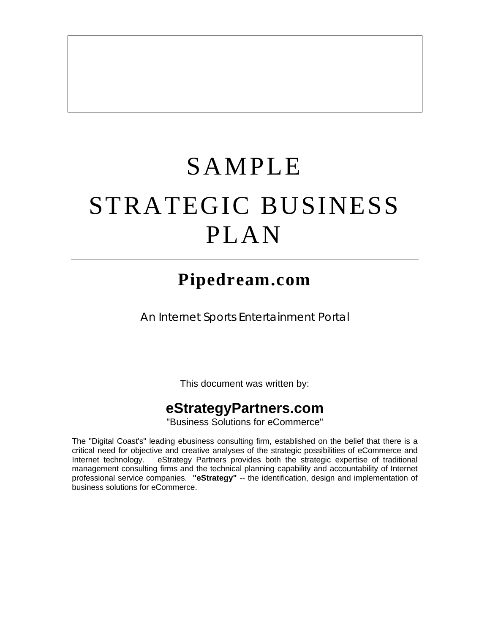# SAMPLE STRATEGIC BUSINESS PLAN

# **Pipedream.com**

*An Internet Sports Entertainment Portal*

This document was written by:

# **eStrategyPartners.com**

"Business Solutions for eCommerce"

The "Digital Coast's" leading ebusiness consulting firm, established on the belief that there is a critical need for objective and creative analyses of the strategic possibilities of eCommerce and Internet technology. eStrategy Partners provides both the strategic expertise of traditional management consulting firms and the technical planning capability and accountability of Internet professional service companies. **"eStrategy"** -- the identification, design and implementation of business solutions for eCommerce.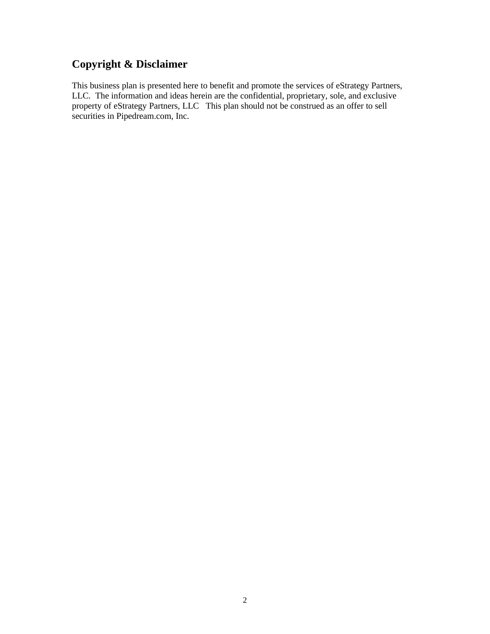## **Copyright & Disclaimer**

This business plan is presented here to benefit and promote the services of eStrategy Partners, LLC. The information and ideas herein are the confidential, proprietary, sole, and exclusive property of eStrategy Partners, LLC This plan should not be construed as an offer to sell securities in Pipedream.com, Inc.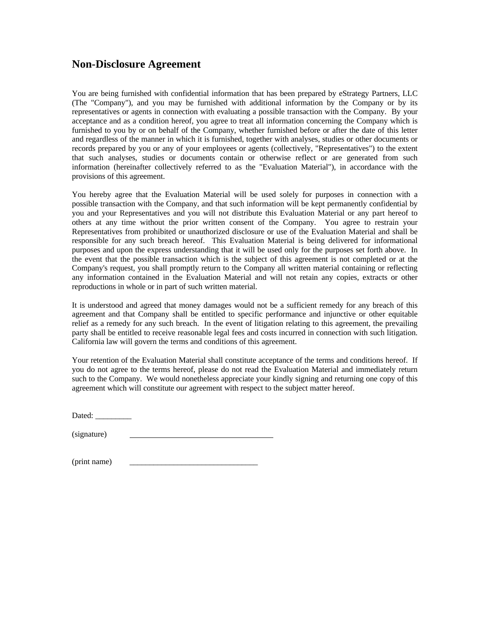## **Non-Disclosure Agreement**

You are being furnished with confidential information that has been prepared by eStrategy Partners, LLC (The "Company"), and you may be furnished with additional information by the Company or by its representatives or agents in connection with evaluating a possible transaction with the Company. By your acceptance and as a condition hereof, you agree to treat all information concerning the Company which is furnished to you by or on behalf of the Company, whether furnished before or after the date of this letter and regardless of the manner in which it is furnished, together with analyses, studies or other documents or records prepared by you or any of your employees or agents (collectively, "Representatives") to the extent that such analyses, studies or documents contain or otherwise reflect or are generated from such information (hereinafter collectively referred to as the "Evaluation Material"), in accordance with the provisions of this agreement.

You hereby agree that the Evaluation Material will be used solely for purposes in connection with a possible transaction with the Company, and that such information will be kept permanently confidential by you and your Representatives and you will not distribute this Evaluation Material or any part hereof to others at any time without the prior written consent of the Company. You agree to restrain your Representatives from prohibited or unauthorized disclosure or use of the Evaluation Material and shall be responsible for any such breach hereof. This Evaluation Material is being delivered for informational purposes and upon the express understanding that it will be used only for the purposes set forth above. In the event that the possible transaction which is the subject of this agreement is not completed or at the Company's request, you shall promptly return to the Company all written material containing or reflecting any information contained in the Evaluation Material and will not retain any copies, extracts or other reproductions in whole or in part of such written material.

It is understood and agreed that money damages would not be a sufficient remedy for any breach of this agreement and that Company shall be entitled to specific performance and injunctive or other equitable relief as a remedy for any such breach. In the event of litigation relating to this agreement, the prevailing party shall be entitled to receive reasonable legal fees and costs incurred in connection with such litigation. California law will govern the terms and conditions of this agreement.

Your retention of the Evaluation Material shall constitute acceptance of the terms and conditions hereof. If you do not agree to the terms hereof, please do not read the Evaluation Material and immediately return such to the Company. We would nonetheless appreciate your kindly signing and returning one copy of this agreement which will constitute our agreement with respect to the subject matter hereof.

Dated:  $\_\_$ 

(signature)

 $(print name)$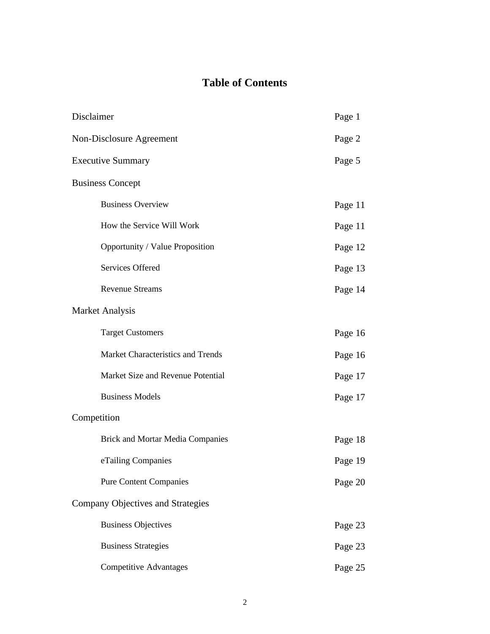# **Table of Contents**

| Disclaimer               |                                         | Page 1  |
|--------------------------|-----------------------------------------|---------|
| Non-Disclosure Agreement |                                         | Page 2  |
|                          | <b>Executive Summary</b>                | Page 5  |
|                          | <b>Business Concept</b>                 |         |
|                          | <b>Business Overview</b>                | Page 11 |
|                          | How the Service Will Work               | Page 11 |
|                          | Opportunity / Value Proposition         | Page 12 |
|                          | Services Offered                        | Page 13 |
|                          | <b>Revenue Streams</b>                  | Page 14 |
|                          | <b>Market Analysis</b>                  |         |
|                          | <b>Target Customers</b>                 | Page 16 |
|                          | Market Characteristics and Trends       | Page 16 |
|                          | Market Size and Revenue Potential       | Page 17 |
|                          | <b>Business Models</b>                  | Page 17 |
| Competition              |                                         |         |
|                          | <b>Brick and Mortar Media Companies</b> | Page 18 |
|                          | eTailing Companies                      | Page 19 |
|                          | <b>Pure Content Companies</b>           | Page 20 |
|                          | Company Objectives and Strategies       |         |
|                          | <b>Business Objectives</b>              | Page 23 |
|                          | <b>Business Strategies</b>              | Page 23 |
|                          | <b>Competitive Advantages</b>           | Page 25 |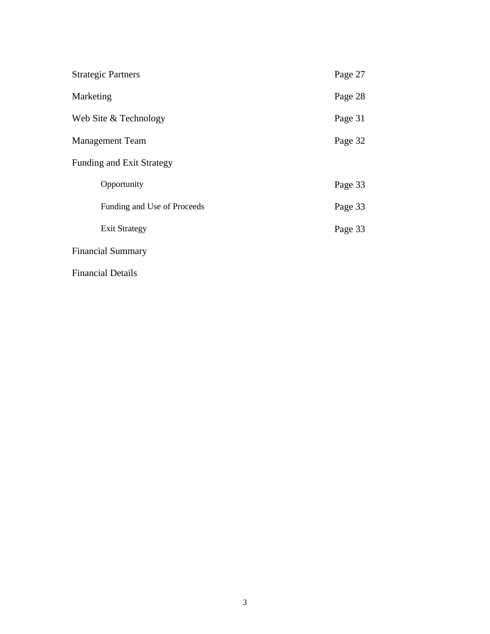| <b>Strategic Partners</b>        | Page 27 |
|----------------------------------|---------|
| Marketing                        | Page 28 |
| Web Site & Technology            | Page 31 |
| <b>Management Team</b>           | Page 32 |
| <b>Funding and Exit Strategy</b> |         |
| Opportunity                      | Page 33 |
| Funding and Use of Proceeds      | Page 33 |
| <b>Exit Strategy</b>             | Page 33 |
| <b>Financial Summary</b>         |         |

Financial Details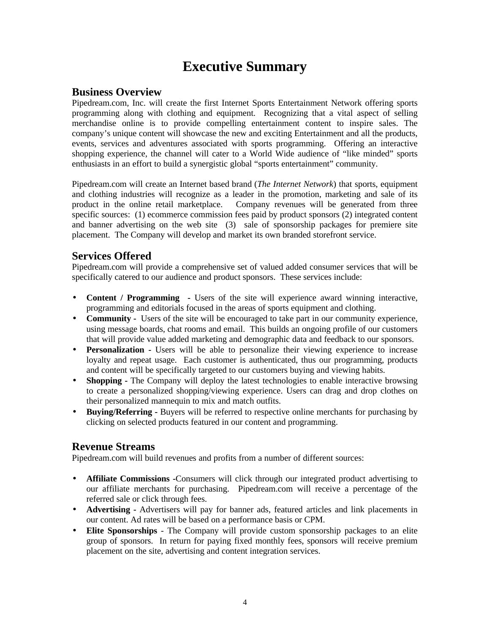# **Executive Summary**

## **Business Overview**

Pipedream.com, Inc. will create the first Internet Sports Entertainment Network offering sports programming along with clothing and equipment. Recognizing that a vital aspect of selling merchandise online is to provide compelling entertainment content to inspire sales. The company's unique content will showcase the new and exciting Entertainment and all the products, events, services and adventures associated with sports programming. Offering an interactive shopping experience, the channel will cater to a World Wide audience of "like minded" sports enthusiasts in an effort to build a synergistic global "sports entertainment" community.

Pipedream.com will create an Internet based brand (*The Internet Network*) that sports, equipment and clothing industries will recognize as a leader in the promotion, marketing and sale of its product in the online retail marketplace. Company revenues will be generated from three specific sources: (1) ecommerce commission fees paid by product sponsors (2) integrated content and banner advertising on the web site (3) sale of sponsorship packages for premiere site placement. The Company will develop and market its own branded storefront service.

## **Services Offered**

Pipedream.com will provide a comprehensive set of valued added consumer services that will be specifically catered to our audience and product sponsors. These services include:

- **Content / Programming -** Users of the site will experience award winning interactive, programming and editorials focused in the areas of sports equipment and clothing.
- **Community** Users of the site will be encouraged to take part in our community experience, using message boards, chat rooms and email. This builds an ongoing profile of our customers that will provide value added marketing and demographic data and feedback to our sponsors.
- **Personalization** Users will be able to personalize their viewing experience to increase loyalty and repeat usage. Each customer is authenticated, thus our programming, products and content will be specifically targeted to our customers buying and viewing habits.
- **Shopping -** The Company will deploy the latest technologies to enable interactive browsing to create a personalized shopping/viewing experience. Users can drag and drop clothes on their personalized mannequin to mix and match outfits.
- **Buying/Referring -** Buyers will be referred to respective online merchants for purchasing by clicking on selected products featured in our content and programming.

## **Revenue Streams**

Pipedream.com will build revenues and profits from a number of different sources:

- **Affiliate Commissions** -Consumers will click through our integrated product advertising to our affiliate merchants for purchasing. Pipedream.com will receive a percentage of the referred sale or click through fees.
- **Advertising** Advertisers will pay for banner ads, featured articles and link placements in our content. Ad rates will be based on a performance basis or CPM.
- **Elite Sponsorships**  The Company will provide custom sponsorship packages to an elite group of sponsors. In return for paying fixed monthly fees, sponsors will receive premium placement on the site, advertising and content integration services.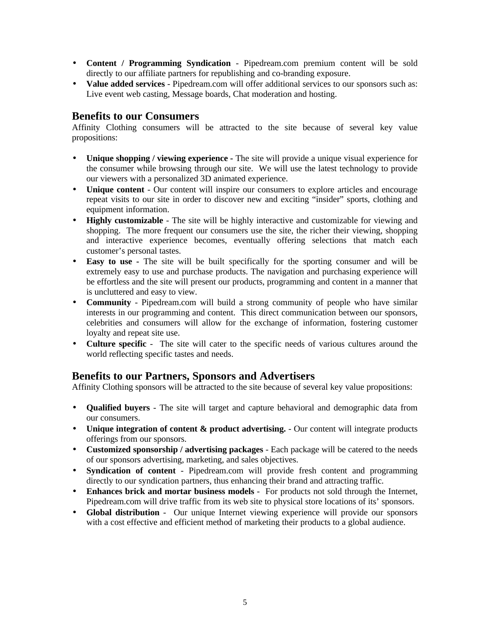- **Content / Programming Syndication** Pipedream.com premium content will be sold directly to our affiliate partners for republishing and co-branding exposure.
- **Value added services** Pipedream.com will offer additional services to our sponsors such as: Live event web casting, Message boards, Chat moderation and hosting.

#### **Benefits to our Consumers**

Affinity Clothing consumers will be attracted to the site because of several key value propositions:

- **Unique shopping / viewing experience -** The site will provide a unique visual experience for the consumer while browsing through our site. We will use the latest technology to provide our viewers with a personalized 3D animated experience.
- **Unique content**  Our content will inspire our consumers to explore articles and encourage repeat visits to our site in order to discover new and exciting "insider" sports, clothing and equipment information.
- **Highly customizable** The site will be highly interactive and customizable for viewing and shopping. The more frequent our consumers use the site, the richer their viewing, shopping and interactive experience becomes, eventually offering selections that match each customer's personal tastes.
- **Easy to use -** The site will be built specifically for the sporting consumer and will be extremely easy to use and purchase products. The navigation and purchasing experience will be effortless and the site will present our products, programming and content in a manner that is uncluttered and easy to view.
- **Community** Pipedream.com will build a strong community of people who have similar interests in our programming and content. This direct communication between our sponsors, celebrities and consumers will allow for the exchange of information, fostering customer loyalty and repeat site use.
- **Culture specific** The site will cater to the specific needs of various cultures around the world reflecting specific tastes and needs.

## **Benefits to our Partners, Sponsors and Advertisers**

Affinity Clothing sponsors will be attracted to the site because of several key value propositions:

- **Qualified buyers** The site will target and capture behavioral and demographic data from our consumers.
- **Unique integration of content & product advertising.** Our content will integrate products offerings from our sponsors.
- **Customized sponsorship / advertising packages** Each package will be catered to the needs of our sponsors advertising, marketing, and sales objectives.
- **Syndication of content** Pipedream.com will provide fresh content and programming directly to our syndication partners, thus enhancing their brand and attracting traffic.
- **Enhances brick and mortar business models** For products not sold through the Internet, Pipedream.com will drive traffic from its web site to physical store locations of its' sponsors.
- **Global distribution** Our unique Internet viewing experience will provide our sponsors with a cost effective and efficient method of marketing their products to a global audience.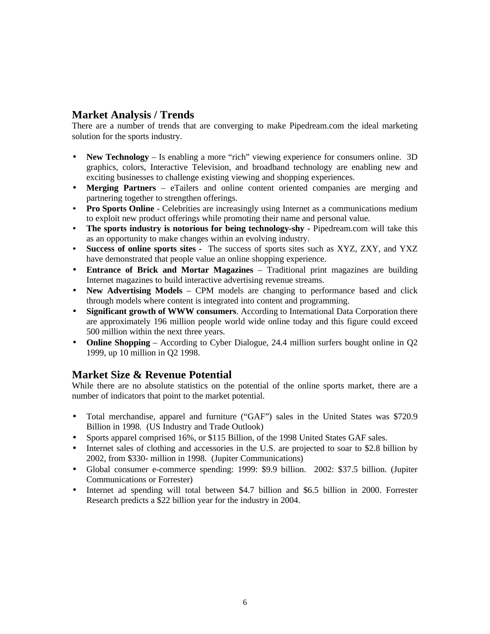## **Market Analysis / Trends**

There are a number of trends that are converging to make Pipedream.com the ideal marketing solution for the sports industry.

- **New Technology** Is enabling a more "rich" viewing experience for consumers online. 3D graphics, colors, Interactive Television, and broadband technology are enabling new and exciting businesses to challenge existing viewing and shopping experiences.
- **Merging Partners** eTailers and online content oriented companies are merging and partnering together to strengthen offerings.
- **Pro Sports Online** Celebrities are increasingly using Internet as a communications medium to exploit new product offerings while promoting their name and personal value.
- The sports industry is notorious for being technology-shy Pipedream.com will take this as an opportunity to make changes within an evolving industry.
- **Success of online sports sites -** The success of sports sites such as XYZ, ZXY, and YXZ have demonstrated that people value an online shopping experience.
- **Entrance of Brick and Mortar Magazines**  Traditional print magazines are building Internet magazines to build interactive advertising revenue streams.
- **New Advertising Models**  CPM models are changing to performance based and click through models where content is integrated into content and programming.
- **Significant growth of WWW consumers**. According to International Data Corporation there are approximately 196 million people world wide online today and this figure could exceed 500 million within the next three years.
- **Online Shopping** According to Cyber Dialogue, 24.4 million surfers bought online in Q2 1999, up 10 million in Q2 1998.

## **Market Size & Revenue Potential**

While there are no absolute statistics on the potential of the online sports market, there are a number of indicators that point to the market potential.

- Total merchandise, apparel and furniture ("GAF") sales in the United States was \$720.9 Billion in 1998. (US Industry and Trade Outlook)
- Sports apparel comprised 16%, or \$115 Billion, of the 1998 United States GAF sales.
- Internet sales of clothing and accessories in the U.S. are projected to soar to \$2.8 billion by 2002, from \$330- million in 1998. (Jupiter Communications)
- Global consumer e-commerce spending: 1999: \$9.9 billion. 2002: \$37.5 billion. (Jupiter Communications or Forrester)
- Internet ad spending will total between \$4.7 billion and \$6.5 billion in 2000. Forrester Research predicts a \$22 billion year for the industry in 2004.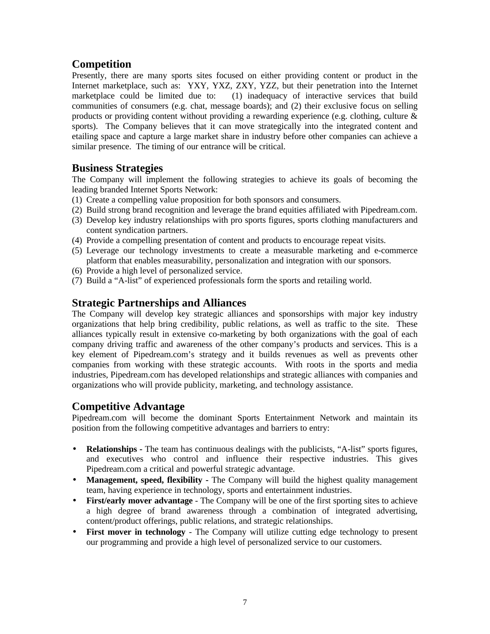## **Competition**

Presently, there are many sports sites focused on either providing content or product in the Internet marketplace, such as: YXY, YXZ, ZXY, YZZ, but their penetration into the Internet marketplace could be limited due to: (1) inadequacy of interactive services that build communities of consumers (e.g. chat, message boards); and (2) their exclusive focus on selling products or providing content without providing a rewarding experience (e.g. clothing, culture  $\&$ sports). The Company believes that it can move strategically into the integrated content and etailing space and capture a large market share in industry before other companies can achieve a similar presence. The timing of our entrance will be critical.

## **Business Strategies**

The Company will implement the following strategies to achieve its goals of becoming the leading branded Internet Sports Network:

- (1) Create a compelling value proposition for both sponsors and consumers.
- (2) Build strong brand recognition and leverage the brand equities affiliated with Pipedream.com.
- (3) Develop key industry relationships with pro sports figures, sports clothing manufacturers and content syndication partners.
- (4) Provide a compelling presentation of content and products to encourage repeat visits.
- (5) Leverage our technology investments to create a measurable marketing and e-commerce platform that enables measurability, personalization and integration with our sponsors.
- (6) Provide a high level of personalized service.
- (7) Build a "A-list" of experienced professionals form the sports and retailing world.

## **Strategic Partnerships and Alliances**

The Company will develop key strategic alliances and sponsorships with major key industry organizations that help bring credibility, public relations, as well as traffic to the site. These alliances typically result in extensive co-marketing by both organizations with the goal of each company driving traffic and awareness of the other company's products and services. This is a key element of Pipedream.com's strategy and it builds revenues as well as prevents other companies from working with these strategic accounts. With roots in the sports and media industries, Pipedream.com has developed relationships and strategic alliances with companies and organizations who will provide publicity, marketing, and technology assistance.

## **Competitive Advantage**

Pipedream.com will become the dominant Sports Entertainment Network and maintain its position from the following competitive advantages and barriers to entry:

- **Relationships** The team has continuous dealings with the publicists, "A-list" sports figures, and executives who control and influence their respective industries. This gives Pipedream.com a critical and powerful strategic advantage.
- **Management, speed, flexibility -** The Company will build the highest quality management team, having experience in technology, sports and entertainment industries.
- **First/early mover advantage** The Company will be one of the first sporting sites to achieve a high degree of brand awareness through a combination of integrated advertising, content/product offerings, public relations, and strategic relationships.
- **First mover in technology**  The Company will utilize cutting edge technology to present our programming and provide a high level of personalized service to our customers.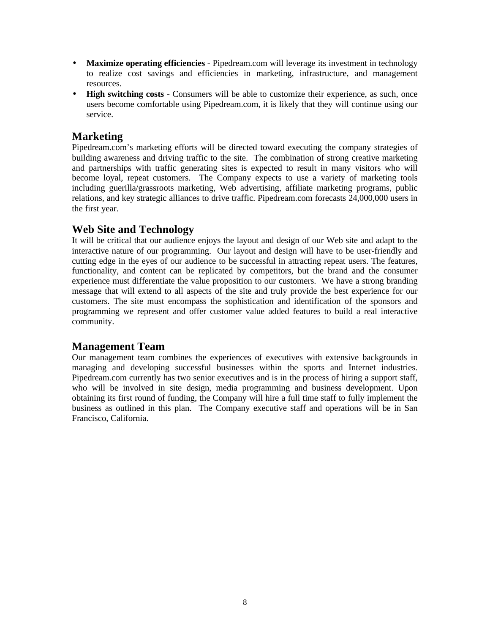- **Maximize operating efficiencies** Pipedream.com will leverage its investment in technology to realize cost savings and efficiencies in marketing, infrastructure, and management resources.
- **High switching costs** Consumers will be able to customize their experience, as such, once users become comfortable using Pipedream.com, it is likely that they will continue using our service.

## **Marketing**

Pipedream.com's marketing efforts will be directed toward executing the company strategies of building awareness and driving traffic to the site. The combination of strong creative marketing and partnerships with traffic generating sites is expected to result in many visitors who will become loyal, repeat customers. The Company expects to use a variety of marketing tools including guerilla/grassroots marketing, Web advertising, affiliate marketing programs, public relations, and key strategic alliances to drive traffic. Pipedream.com forecasts 24,000,000 users in the first year.

## **Web Site and Technology**

It will be critical that our audience enjoys the layout and design of our Web site and adapt to the interactive nature of our programming. Our layout and design will have to be user-friendly and cutting edge in the eyes of our audience to be successful in attracting repeat users. The features, functionality, and content can be replicated by competitors, but the brand and the consumer experience must differentiate the value proposition to our customers. We have a strong branding message that will extend to all aspects of the site and truly provide the best experience for our customers. The site must encompass the sophistication and identification of the sponsors and programming we represent and offer customer value added features to build a real interactive community.

## **Management Team**

Our management team combines the experiences of executives with extensive backgrounds in managing and developing successful businesses within the sports and Internet industries. Pipedream.com currently has two senior executives and is in the process of hiring a support staff, who will be involved in site design, media programming and business development. Upon obtaining its first round of funding, the Company will hire a full time staff to fully implement the business as outlined in this plan. The Company executive staff and operations will be in San Francisco, California.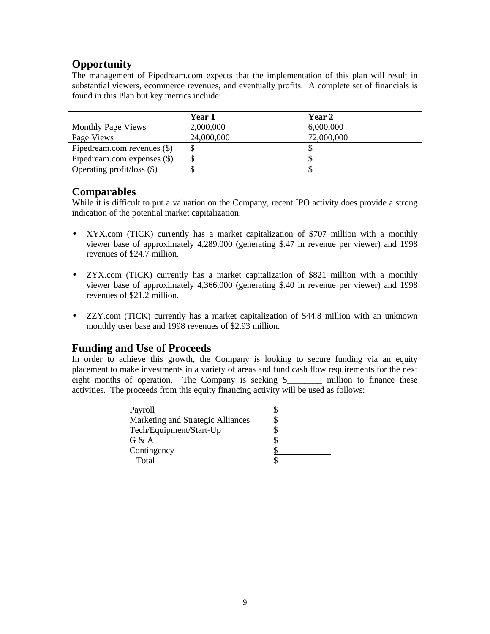## **Opportunity**

The management of Pipedream.com expects that the implementation of this plan will result in substantial viewers, ecommerce revenues, and eventually profits. A complete set of financials is found in this Plan but key metrics include:

|                             | Year 1     | Year 2     |
|-----------------------------|------------|------------|
| <b>Monthly Page Views</b>   | 2,000,000  | 6,000,000  |
| Page Views                  | 24,000,000 | 72,000,000 |
| Pipedream.com revenues (\$) |            |            |
| Pipedream.com expenses (\$) | S          |            |
| Operating profit/loss (\$)  |            |            |

## **Comparables**

While it is difficult to put a valuation on the Company, recent IPO activity does provide a strong indication of the potential market capitalization.

- XYX.com (TICK) currently has a market capitalization of \$707 million with a monthly viewer base of approximately 4,289,000 (generating \$.47 in revenue per viewer) and 1998 revenues of \$24.7 million.
- ZYX.com (TICK) currently has a market capitalization of \$821 million with a monthly viewer base of approximately 4,366,000 (generating \$.40 in revenue per viewer) and 1998 revenues of \$21.2 million.
- ZZY.com (TICK) currently has a market capitalization of \$44.8 million with an unknown monthly user base and 1998 revenues of \$2.93 million.

## **Funding and Use of Proceeds**

In order to achieve this growth, the Company is looking to secure funding via an equity placement to make investments in a variety of areas and fund cash flow requirements for the next eight months of operation. The Company is seeking \$ \_\_\_\_\_ million to finance these activities. The proceeds from this equity financing activity will be used as follows:

| Payroll                           |  |
|-----------------------------------|--|
| Marketing and Strategic Alliances |  |
| Tech/Equipment/Start-Up           |  |
| G & A                             |  |
| Contingency                       |  |
| Total                             |  |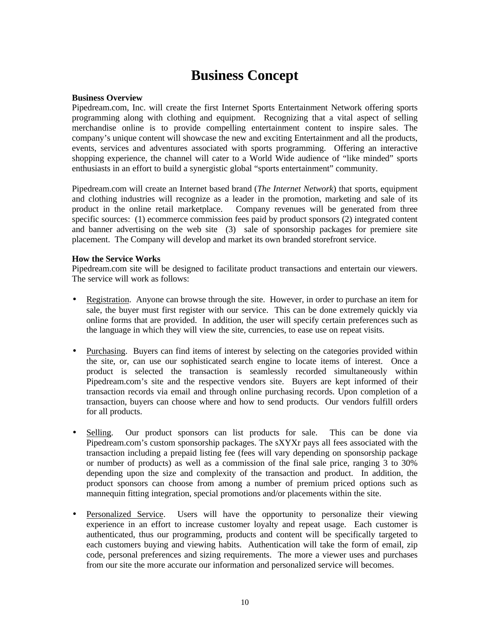# **Business Concept**

#### **Business Overview**

Pipedream.com, Inc. will create the first Internet Sports Entertainment Network offering sports programming along with clothing and equipment. Recognizing that a vital aspect of selling merchandise online is to provide compelling entertainment content to inspire sales. The company's unique content will showcase the new and exciting Entertainment and all the products, events, services and adventures associated with sports programming. Offering an interactive shopping experience, the channel will cater to a World Wide audience of "like minded" sports enthusiasts in an effort to build a synergistic global "sports entertainment" community.

Pipedream.com will create an Internet based brand (*The Internet Network*) that sports, equipment and clothing industries will recognize as a leader in the promotion, marketing and sale of its product in the online retail marketplace. Company revenues will be generated from three specific sources: (1) ecommerce commission fees paid by product sponsors (2) integrated content and banner advertising on the web site (3) sale of sponsorship packages for premiere site placement. The Company will develop and market its own branded storefront service.

#### **How the Service Works**

Pipedream.com site will be designed to facilitate product transactions and entertain our viewers. The service will work as follows:

- Registration. Anyone can browse through the site. However, in order to purchase an item for sale, the buyer must first register with our service. This can be done extremely quickly via online forms that are provided. In addition, the user will specify certain preferences such as the language in which they will view the site, currencies, to ease use on repeat visits.
- Purchasing. Buyers can find items of interest by selecting on the categories provided within the site, or, can use our sophisticated search engine to locate items of interest. Once a product is selected the transaction is seamlessly recorded simultaneously within Pipedream.com's site and the respective vendors site. Buyers are kept informed of their transaction records via email and through online purchasing records. Upon completion of a transaction, buyers can choose where and how to send products. Our vendors fulfill orders for all products.
- Selling. Our product sponsors can list products for sale. This can be done via Pipedream.com's custom sponsorship packages. The sXYXr pays all fees associated with the transaction including a prepaid listing fee (fees will vary depending on sponsorship package or number of products) as well as a commission of the final sale price, ranging 3 to 30% depending upon the size and complexity of the transaction and product. In addition, the product sponsors can choose from among a number of premium priced options such as mannequin fitting integration, special promotions and/or placements within the site.
- Personalized Service. Users will have the opportunity to personalize their viewing experience in an effort to increase customer loyalty and repeat usage. Each customer is authenticated, thus our programming, products and content will be specifically targeted to each customers buying and viewing habits. Authentication will take the form of email, zip code, personal preferences and sizing requirements. The more a viewer uses and purchases from our site the more accurate our information and personalized service will becomes.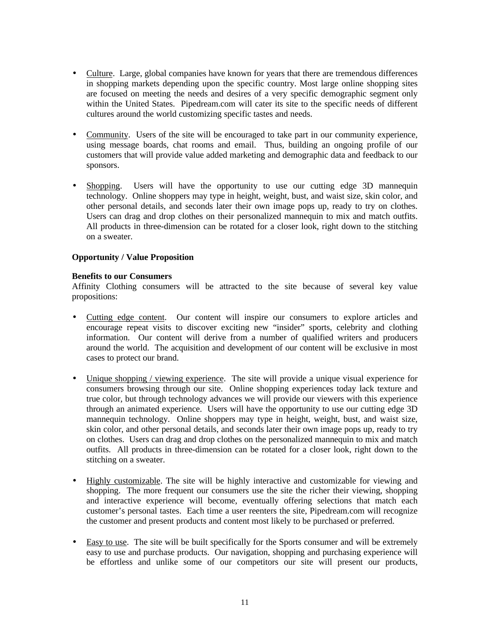- Culture. Large, global companies have known for years that there are tremendous differences in shopping markets depending upon the specific country. Most large online shopping sites are focused on meeting the needs and desires of a very specific demographic segment only within the United States. Pipedream.com will cater its site to the specific needs of different cultures around the world customizing specific tastes and needs.
- Community. Users of the site will be encouraged to take part in our community experience, using message boards, chat rooms and email. Thus, building an ongoing profile of our customers that will provide value added marketing and demographic data and feedback to our sponsors.
- Shopping. Users will have the opportunity to use our cutting edge 3D mannequin technology. Online shoppers may type in height, weight, bust, and waist size, skin color, and other personal details, and seconds later their own image pops up, ready to try on clothes. Users can drag and drop clothes on their personalized mannequin to mix and match outfits. All products in three-dimension can be rotated for a closer look, right down to the stitching on a sweater.

#### **Opportunity / Value Proposition**

#### **Benefits to our Consumers**

Affinity Clothing consumers will be attracted to the site because of several key value propositions:

- Cutting edge content. Our content will inspire our consumers to explore articles and encourage repeat visits to discover exciting new "insider" sports, celebrity and clothing information. Our content will derive from a number of qualified writers and producers around the world. The acquisition and development of our content will be exclusive in most cases to protect our brand.
- Unique shopping / viewing experience. The site will provide a unique visual experience for consumers browsing through our site. Online shopping experiences today lack texture and true color, but through technology advances we will provide our viewers with this experience through an animated experience. Users will have the opportunity to use our cutting edge 3D mannequin technology. Online shoppers may type in height, weight, bust, and waist size, skin color, and other personal details, and seconds later their own image pops up, ready to try on clothes. Users can drag and drop clothes on the personalized mannequin to mix and match outfits. All products in three-dimension can be rotated for a closer look, right down to the stitching on a sweater.
- Highly customizable. The site will be highly interactive and customizable for viewing and shopping. The more frequent our consumers use the site the richer their viewing, shopping and interactive experience will become, eventually offering selections that match each customer's personal tastes. Each time a user reenters the site, Pipedream.com will recognize the customer and present products and content most likely to be purchased or preferred.
- Easy to use. The site will be built specifically for the Sports consumer and will be extremely easy to use and purchase products. Our navigation, shopping and purchasing experience will be effortless and unlike some of our competitors our site will present our products,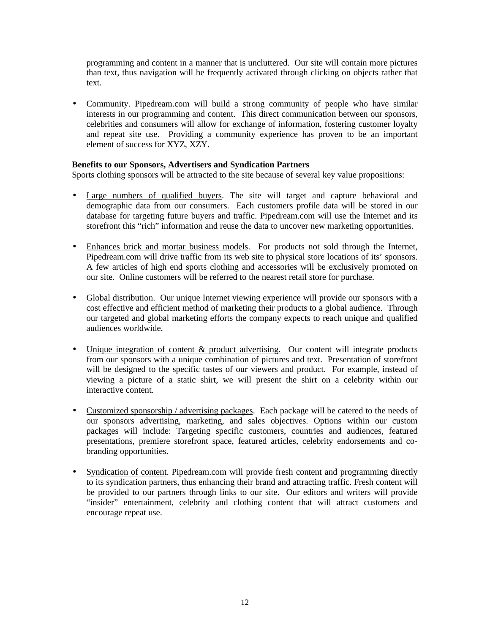programming and content in a manner that is uncluttered. Our site will contain more pictures than text, thus navigation will be frequently activated through clicking on objects rather that text.

• Community. Pipedream.com will build a strong community of people who have similar interests in our programming and content. This direct communication between our sponsors, celebrities and consumers will allow for exchange of information, fostering customer loyalty and repeat site use. Providing a community experience has proven to be an important element of success for XYZ, XZY.

#### **Benefits to our Sponsors, Advertisers and Syndication Partners**

Sports clothing sponsors will be attracted to the site because of several key value propositions:

- Large numbers of qualified buyers. The site will target and capture behavioral and demographic data from our consumers. Each customers profile data will be stored in our database for targeting future buyers and traffic. Pipedream.com will use the Internet and its storefront this "rich" information and reuse the data to uncover new marketing opportunities.
- Enhances brick and mortar business models. For products not sold through the Internet, Pipedream.com will drive traffic from its web site to physical store locations of its' sponsors. A few articles of high end sports clothing and accessories will be exclusively promoted on our site. Online customers will be referred to the nearest retail store for purchase.
- Global distribution. Our unique Internet viewing experience will provide our sponsors with a cost effective and efficient method of marketing their products to a global audience. Through our targeted and global marketing efforts the company expects to reach unique and qualified audiences worldwide.
- Unique integration of content & product advertising. Our content will integrate products from our sponsors with a unique combination of pictures and text. Presentation of storefront will be designed to the specific tastes of our viewers and product. For example, instead of viewing a picture of a static shirt, we will present the shirt on a celebrity within our interactive content.
- Customized sponsorship / advertising packages. Each package will be catered to the needs of our sponsors advertising, marketing, and sales objectives. Options within our custom packages will include: Targeting specific customers, countries and audiences, featured presentations, premiere storefront space, featured articles, celebrity endorsements and cobranding opportunities.
- Syndication of content. Pipedream.com will provide fresh content and programming directly to its syndication partners, thus enhancing their brand and attracting traffic. Fresh content will be provided to our partners through links to our site. Our editors and writers will provide "insider" entertainment, celebrity and clothing content that will attract customers and encourage repeat use.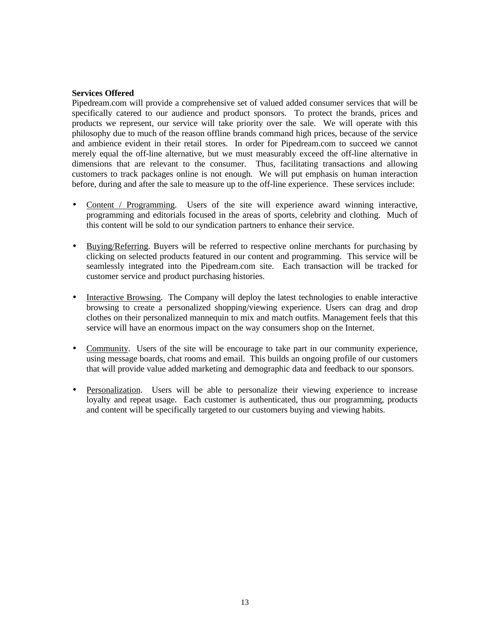#### **Services Offered**

Pipedream.com will provide a comprehensive set of valued added consumer services that will be specifically catered to our audience and product sponsors. To protect the brands, prices and products we represent, our service will take priority over the sale. We will operate with this philosophy due to much of the reason offline brands command high prices, because of the service and ambience evident in their retail stores. In order for Pipedream.com to succeed we cannot merely equal the off-line alternative, but we must measurably exceed the off-line alternative in dimensions that are relevant to the consumer. Thus, facilitating transactions and allowing customers to track packages online is not enough. We will put emphasis on human interaction before, during and after the sale to measure up to the off-line experience. These services include:

- Content / Programming. Users of the site will experience award winning interactive, programming and editorials focused in the areas of sports, celebrity and clothing. Much of this content will be sold to our syndication partners to enhance their service.
- Buying/Referring. Buyers will be referred to respective online merchants for purchasing by clicking on selected products featured in our content and programming. This service will be seamlessly integrated into the Pipedream.com site. Each transaction will be tracked for customer service and product purchasing histories.
- Interactive Browsing. The Company will deploy the latest technologies to enable interactive browsing to create a personalized shopping/viewing experience. Users can drag and drop clothes on their personalized mannequin to mix and match outfits. Management feels that this service will have an enormous impact on the way consumers shop on the Internet.
- Community. Users of the site will be encourage to take part in our community experience, using message boards, chat rooms and email. This builds an ongoing profile of our customers that will provide value added marketing and demographic data and feedback to our sponsors.
- Personalization. Users will be able to personalize their viewing experience to increase loyalty and repeat usage. Each customer is authenticated, thus our programming, products and content will be specifically targeted to our customers buying and viewing habits.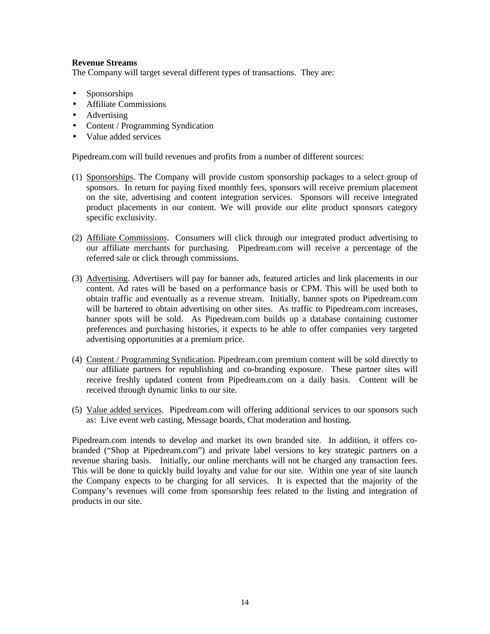#### **Revenue Streams**

The Company will target several different types of transactions. They are:

- Sponsorships
- Affiliate Commissions
- Advertising
- Content / Programming Syndication
- Value added services

Pipedream.com will build revenues and profits from a number of different sources:

- (1) Sponsorships. The Company will provide custom sponsorship packages to a select group of sponsors. In return for paying fixed monthly fees, sponsors will receive premium placement on the site, advertising and content integration services. Sponsors will receive integrated product placements in our content. We will provide our elite product sponsors category specific exclusivity.
- (2) Affiliate Commissions. Consumers will click through our integrated product advertising to our affiliate merchants for purchasing. Pipedream.com will receive a percentage of the referred sale or click through commissions.
- (3) Advertising. Advertisers will pay for banner ads, featured articles and link placements in our content. Ad rates will be based on a performance basis or CPM. This will be used both to obtain traffic and eventually as a revenue stream. Initially, banner spots on Pipedream.com will be bartered to obtain advertising on other sites. As traffic to Pipedream.com increases, banner spots will be sold. As Pipedream.com builds up a database containing customer preferences and purchasing histories, it expects to be able to offer companies very targeted advertising opportunities at a premium price.
- (4) Content / Programming Syndication. Pipedream.com premium content will be sold directly to our affiliate partners for republishing and co-branding exposure. These partner sites will receive freshly updated content from Pipedream.com on a daily basis. Content will be received through dynamic links to our site.
- (5) Value added services. Pipedream.com will offering additional services to our sponsors such as: Live event web casting, Message boards, Chat moderation and hosting.

Pipedream.com intends to develop and market its own branded site. In addition, it offers cobranded ("Shop at Pipedream.com") and private label versions to key strategic partners on a revenue sharing basis. Initially, our online merchants will not be charged any transaction fees. This will be done to quickly build loyalty and value for our site. Within one year of site launch the Company expects to be charging for all services. It is expected that the majority of the Company's revenues will come from sponsorship fees related to the listing and integration of products in our site.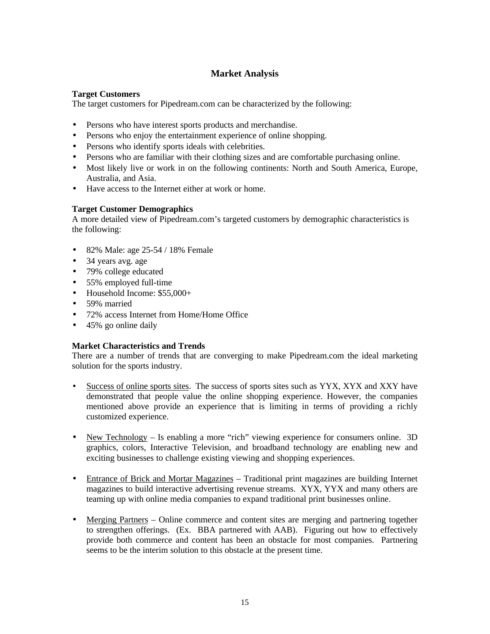## **Market Analysis**

#### **Target Customers**

The target customers for Pipedream.com can be characterized by the following:

- Persons who have interest sports products and merchandise.
- Persons who enjoy the entertainment experience of online shopping.
- Persons who identify sports ideals with celebrities.
- Persons who are familiar with their clothing sizes and are comfortable purchasing online.
- Most likely live or work in on the following continents: North and South America, Europe, Australia, and Asia.
- Have access to the Internet either at work or home.

#### **Target Customer Demographics**

A more detailed view of Pipedream.com's targeted customers by demographic characteristics is the following:

- 82% Male: age 25-54 / 18% Female
- 34 years avg. age
- 79% college educated
- 55% employed full-time
- Household Income: \$55,000+
- 59% married
- 72% access Internet from Home/Home Office
- 45% go online daily

#### **Market Characteristics and Trends**

There are a number of trends that are converging to make Pipedream.com the ideal marketing solution for the sports industry.

- Success of online sports sites. The success of sports sites such as YYX, XYX and XXY have demonstrated that people value the online shopping experience. However, the companies mentioned above provide an experience that is limiting in terms of providing a richly customized experience.
- New Technology Is enabling a more "rich" viewing experience for consumers online. 3D graphics, colors, Interactive Television, and broadband technology are enabling new and exciting businesses to challenge existing viewing and shopping experiences.
- Entrance of Brick and Mortar Magazines Traditional print magazines are building Internet magazines to build interactive advertising revenue streams. XYX, YYX and many others are teaming up with online media companies to expand traditional print businesses online.
- Merging Partners Online commerce and content sites are merging and partnering together to strengthen offerings. (Ex. BBA partnered with AAB). Figuring out how to effectively provide both commerce and content has been an obstacle for most companies. Partnering seems to be the interim solution to this obstacle at the present time.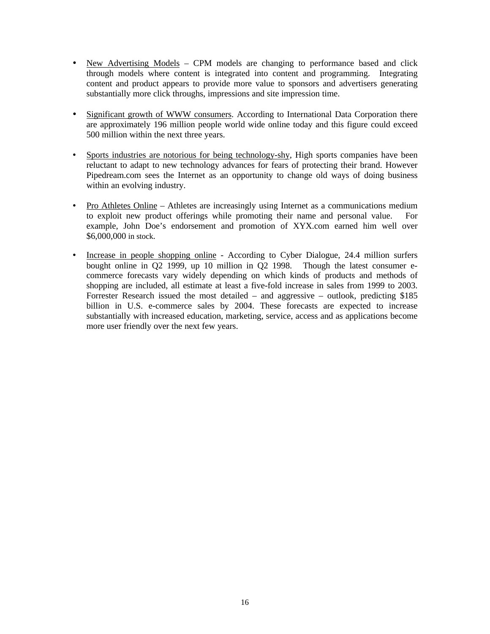- New Advertising Models CPM models are changing to performance based and click through models where content is integrated into content and programming. Integrating content and product appears to provide more value to sponsors and advertisers generating substantially more click throughs, impressions and site impression time.
- Significant growth of WWW consumers. According to International Data Corporation there are approximately 196 million people world wide online today and this figure could exceed 500 million within the next three years.
- Sports industries are notorious for being technology-shy, High sports companies have been reluctant to adapt to new technology advances for fears of protecting their brand. However Pipedream.com sees the Internet as an opportunity to change old ways of doing business within an evolving industry.
- Pro Athletes Online Athletes are increasingly using Internet as a communications medium to exploit new product offerings while promoting their name and personal value. For example, John Doe's endorsement and promotion of XYX.com earned him well over \$6,000,000 in stock.
- Increase in people shopping online According to Cyber Dialogue, 24.4 million surfers bought online in Q2 1999, up 10 million in Q2 1998. Though the latest consumer ecommerce forecasts vary widely depending on which kinds of products and methods of shopping are included, all estimate at least a five-fold increase in sales from 1999 to 2003. Forrester Research issued the most detailed – and aggressive – outlook, predicting \$185 billion in U.S. e-commerce sales by 2004. These forecasts are expected to increase substantially with increased education, marketing, service, access and as applications become more user friendly over the next few years.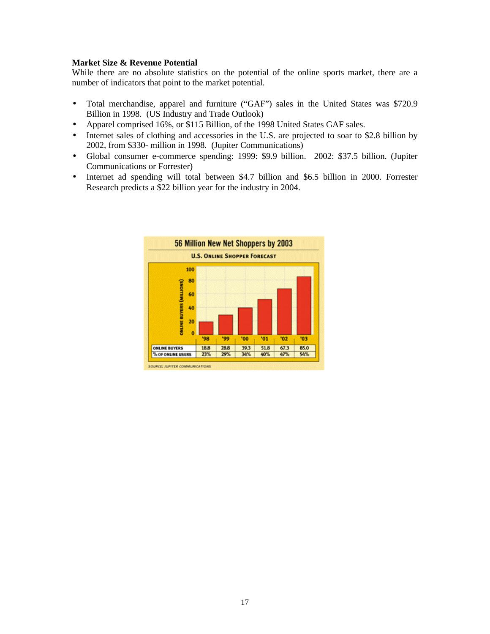#### **Market Size & Revenue Potential**

While there are no absolute statistics on the potential of the online sports market, there are a number of indicators that point to the market potential.

- Total merchandise, apparel and furniture ("GAF") sales in the United States was \$720.9 Billion in 1998. (US Industry and Trade Outlook)
- Apparel comprised 16%, or \$115 Billion, of the 1998 United States GAF sales.
- Internet sales of clothing and accessories in the U.S. are projected to soar to \$2.8 billion by 2002, from \$330- million in 1998. (Jupiter Communications)
- Global consumer e-commerce spending: 1999: \$9.9 billion. 2002: \$37.5 billion. (Jupiter Communications or Forrester)
- Internet ad spending will total between \$4.7 billion and \$6.5 billion in 2000. Forrester Research predicts a \$22 billion year for the industry in 2004.

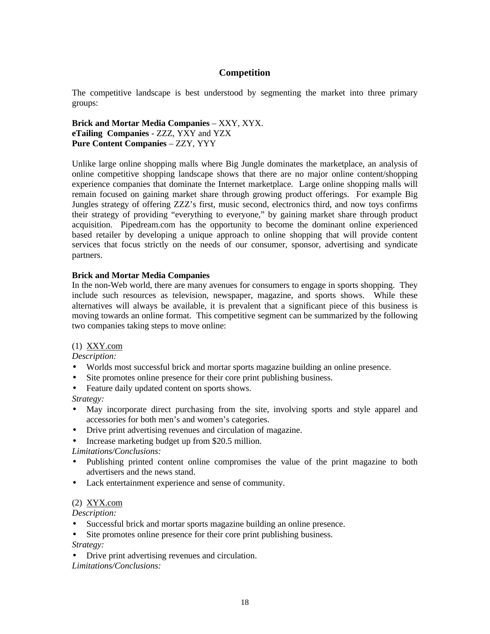#### **Competition**

The competitive landscape is best understood by segmenting the market into three primary groups:

**Brick and Mortar Media Companies** – XXY, XYX. **eTailing Companies** - ZZZ, YXY and YZX **Pure Content Companies** – ZZY, YYY

Unlike large online shopping malls where Big Jungle dominates the marketplace, an analysis of online competitive shopping landscape shows that there are no major online content/shopping experience companies that dominate the Internet marketplace. Large online shopping malls will remain focused on gaining market share through growing product offerings. For example Big Jungles strategy of offering ZZZ's first, music second, electronics third, and now toys confirms their strategy of providing "everything to everyone," by gaining market share through product acquisition. Pipedream.com has the opportunity to become the dominant online experienced based retailer by developing a unique approach to online shopping that will provide content services that focus strictly on the needs of our consumer, sponsor, advertising and syndicate partners.

#### **Brick and Mortar Media Companies**

In the non-Web world, there are many avenues for consumers to engage in sports shopping. They include such resources as television, newspaper, magazine, and sports shows. While these alternatives will always be available, it is prevalent that a significant piece of this business is moving towards an online format. This competitive segment can be summarized by the following two companies taking steps to move online:

#### (1) XXY.com

*Description:*

- Worlds most successful brick and mortar sports magazine building an online presence.
- Site promotes online presence for their core print publishing business.
- Feature daily updated content on sports shows.

*Strategy:*

- May incorporate direct purchasing from the site, involving sports and style apparel and accessories for both men's and women's categories.
- Drive print advertising revenues and circulation of magazine.
- Increase marketing budget up from \$20.5 million.

#### *Limitations/Conclusions:*

- Publishing printed content online compromises the value of the print magazine to both advertisers and the news stand.
- Lack entertainment experience and sense of community.

#### (2) XYX.com

*Description:*

- Successful brick and mortar sports magazine building an online presence.
- Site promotes online presence for their core print publishing business. *Strategy:*
- Drive print advertising revenues and circulation.

*Limitations/Conclusions:*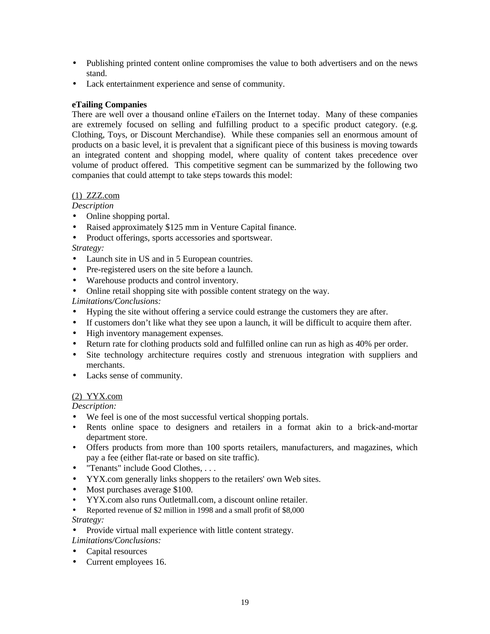- Publishing printed content online compromises the value to both advertisers and on the news stand.
- Lack entertainment experience and sense of community.

#### **eTailing Companies**

There are well over a thousand online eTailers on the Internet today. Many of these companies are extremely focused on selling and fulfilling product to a specific product category. (e.g. Clothing, Toys, or Discount Merchandise). While these companies sell an enormous amount of products on a basic level, it is prevalent that a significant piece of this business is moving towards an integrated content and shopping model, where quality of content takes precedence over volume of product offered. This competitive segment can be summarized by the following two companies that could attempt to take steps towards this model:

#### (1) ZZZ.com

#### *Description*

- Online shopping portal.
- Raised approximately \$125 mm in Venture Capital finance.
- Product offerings, sports accessories and sportswear.

#### *Strategy:*

- Launch site in US and in 5 European countries.
- Pre-registered users on the site before a launch.
- Warehouse products and control inventory.
- Online retail shopping site with possible content strategy on the way.

#### *Limitations/Conclusions:*

- Hyping the site without offering a service could estrange the customers they are after.
- If customers don't like what they see upon a launch, it will be difficult to acquire them after.
- High inventory management expenses.
- Return rate for clothing products sold and fulfilled online can run as high as 40% per order.
- Site technology architecture requires costly and strenuous integration with suppliers and merchants.
- Lacks sense of community.

#### (2) YYX.com

*Description:*

- We feel is one of the most successful vertical shopping portals.
- Rents online space to designers and retailers in a format akin to a brick-and-mortar department store.
- Offers products from more than 100 sports retailers, manufacturers, and magazines, which pay a fee (either flat-rate or based on site traffic).
- "Tenants" include Good Clothes, . . .
- YYX.com generally links shoppers to the retailers' own Web sites.
- Most purchases average \$100.
- YYX.com also runs Outletmall.com, a discount online retailer.
- Reported revenue of \$2 million in 1998 and a small profit of \$8,000 *Strategy:*

#### • Provide virtual mall experience with little content strategy.

- *Limitations/Conclusions:*
- Capital resources
- Current employees 16.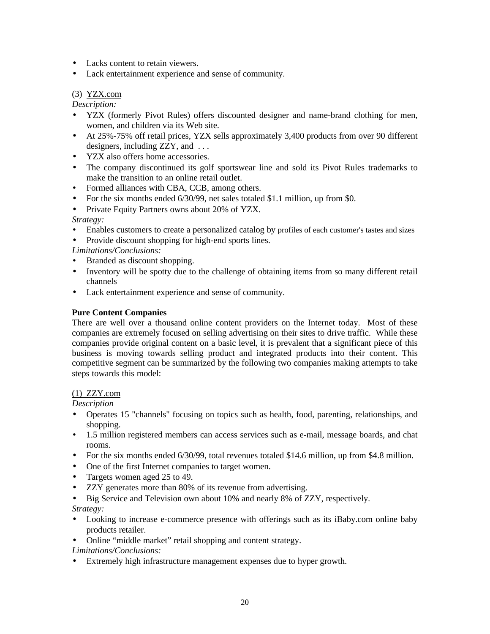- Lacks content to retain viewers.
- Lack entertainment experience and sense of community.

#### (3) YZX.com

*Description:*

- YZX (formerly Pivot Rules) offers discounted designer and name-brand clothing for men, women, and children via its Web site.
- At 25%-75% off retail prices, YZX sells approximately 3,400 products from over 90 different designers, including ZZY, and . . .
- YZX also offers home accessories.
- The company discontinued its golf sportswear line and sold its Pivot Rules trademarks to make the transition to an online retail outlet.
- Formed alliances with CBA, CCB, among others.
- For the six months ended 6/30/99, net sales totaled \$1.1 million, up from \$0.
- Private Equity Partners owns about 20% of YZX.

*Strategy:*

- Enables customers to create a personalized catalog by profiles of each customer's tastes and sizes
- Provide discount shopping for high-end sports lines.

*Limitations/Conclusions:*

- Branded as discount shopping.
- Inventory will be spotty due to the challenge of obtaining items from so many different retail channels
- Lack entertainment experience and sense of community.

#### **Pure Content Companies**

There are well over a thousand online content providers on the Internet today. Most of these companies are extremely focused on selling advertising on their sites to drive traffic. While these companies provide original content on a basic level, it is prevalent that a significant piece of this business is moving towards selling product and integrated products into their content. This competitive segment can be summarized by the following two companies making attempts to take steps towards this model:

#### (1) ZZY.com

*Description*

- Operates 15 "channels" focusing on topics such as health, food, parenting, relationships, and shopping.
- 1.5 million registered members can access services such as e-mail, message boards, and chat rooms.
- For the six months ended 6/30/99, total revenues totaled \$14.6 million, up from \$4.8 million.
- One of the first Internet companies to target women.
- Targets women aged 25 to 49.
- ZZY generates more than 80% of its revenue from advertising.
- Big Service and Television own about 10% and nearly 8% of ZZY, respectively.

*Strategy:*

- Looking to increase e-commerce presence with offerings such as its iBaby.com online baby products retailer.
- Online "middle market" retail shopping and content strategy.
- *Limitations/Conclusions:*
- Extremely high infrastructure management expenses due to hyper growth.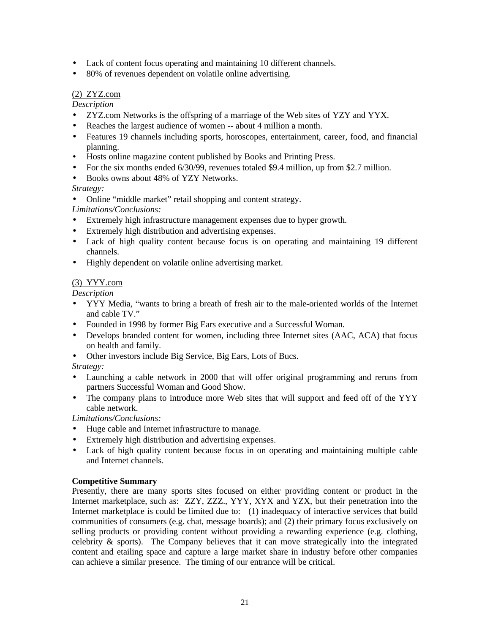- Lack of content focus operating and maintaining 10 different channels.
- 80% of revenues dependent on volatile online advertising.

#### (2) ZYZ.com

*Description*

- ZYZ.com Networks is the offspring of a marriage of the Web sites of YZY and YYX.
- Reaches the largest audience of women -- about 4 million a month.
- Features 19 channels including sports, horoscopes, entertainment, career, food, and financial planning.
- Hosts online magazine content published by Books and Printing Press.
- For the six months ended 6/30/99, revenues totaled \$9.4 million, up from \$2.7 million.
- Books owns about 48% of YZY Networks.

#### *Strategy:*

• Online "middle market" retail shopping and content strategy.

*Limitations/Conclusions:*

- Extremely high infrastructure management expenses due to hyper growth.
- Extremely high distribution and advertising expenses.
- Lack of high quality content because focus is on operating and maintaining 19 different channels.
- Highly dependent on volatile online advertising market.

#### (3) YYY.com

*Description*

- YYY Media, "wants to bring a breath of fresh air to the male-oriented worlds of the Internet and cable TV."
- Founded in 1998 by former Big Ears executive and a Successful Woman.
- Develops branded content for women, including three Internet sites (AAC, ACA) that focus on health and family.
- Other investors include Big Service, Big Ears, Lots of Bucs.
- *Strategy:*
- Launching a cable network in 2000 that will offer original programming and reruns from partners Successful Woman and Good Show.
- The company plans to introduce more Web sites that will support and feed off of the YYY cable network.

*Limitations/Conclusions:*

- Huge cable and Internet infrastructure to manage.
- Extremely high distribution and advertising expenses.
- Lack of high quality content because focus in on operating and maintaining multiple cable and Internet channels.

#### **Competitive Summary**

Presently, there are many sports sites focused on either providing content or product in the Internet marketplace, such as: ZZY, ZZZ., YYY, XYX and YZX, but their penetration into the Internet marketplace is could be limited due to: (1) inadequacy of interactive services that build communities of consumers (e.g. chat, message boards); and (2) their primary focus exclusively on selling products or providing content without providing a rewarding experience (e.g. clothing, celebrity & sports). The Company believes that it can move strategically into the integrated content and etailing space and capture a large market share in industry before other companies can achieve a similar presence. The timing of our entrance will be critical.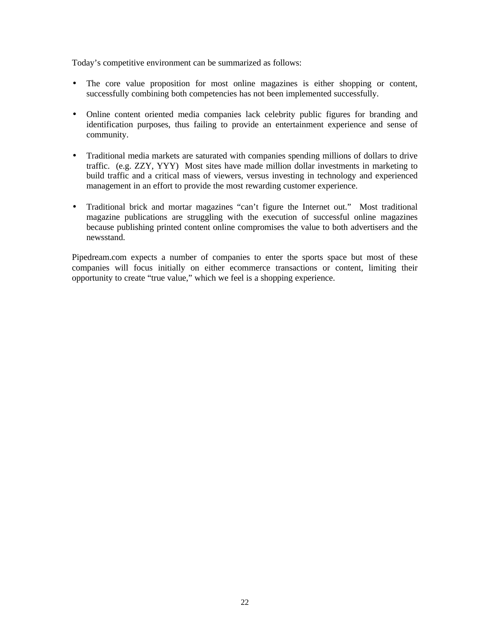Today's competitive environment can be summarized as follows:

- The core value proposition for most online magazines is either shopping or content, successfully combining both competencies has not been implemented successfully.
- Online content oriented media companies lack celebrity public figures for branding and identification purposes, thus failing to provide an entertainment experience and sense of community.
- Traditional media markets are saturated with companies spending millions of dollars to drive traffic. (e.g. ZZY, YYY) Most sites have made million dollar investments in marketing to build traffic and a critical mass of viewers, versus investing in technology and experienced management in an effort to provide the most rewarding customer experience.
- Traditional brick and mortar magazines "can't figure the Internet out." Most traditional magazine publications are struggling with the execution of successful online magazines because publishing printed content online compromises the value to both advertisers and the newsstand.

Pipedream.com expects a number of companies to enter the sports space but most of these companies will focus initially on either ecommerce transactions or content, limiting their opportunity to create "true value," which we feel is a shopping experience.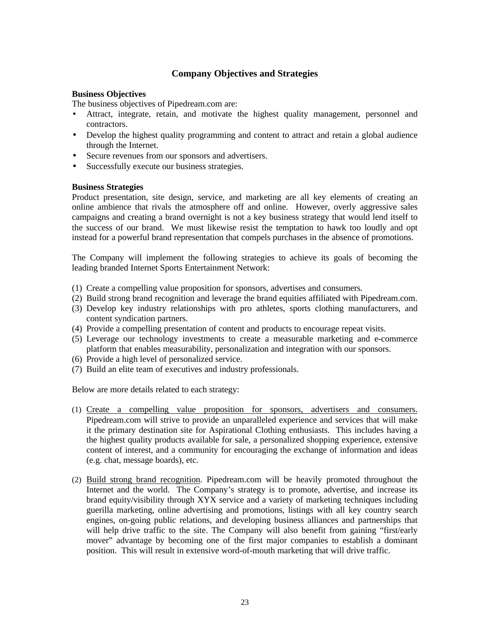#### **Company Objectives and Strategies**

#### **Business Objectives**

The business objectives of Pipedream.com are:

- Attract, integrate, retain, and motivate the highest quality management, personnel and contractors.
- Develop the highest quality programming and content to attract and retain a global audience through the Internet.
- Secure revenues from our sponsors and advertisers.
- Successfully execute our business strategies.

#### **Business Strategies**

Product presentation, site design, service, and marketing are all key elements of creating an online ambience that rivals the atmosphere off and online. However, overly aggressive sales campaigns and creating a brand overnight is not a key business strategy that would lend itself to the success of our brand. We must likewise resist the temptation to hawk too loudly and opt instead for a powerful brand representation that compels purchases in the absence of promotions.

The Company will implement the following strategies to achieve its goals of becoming the leading branded Internet Sports Entertainment Network:

- (1) Create a compelling value proposition for sponsors, advertises and consumers.
- (2) Build strong brand recognition and leverage the brand equities affiliated with Pipedream.com.
- (3) Develop key industry relationships with pro athletes, sports clothing manufacturers, and content syndication partners.
- (4) Provide a compelling presentation of content and products to encourage repeat visits.
- (5) Leverage our technology investments to create a measurable marketing and e-commerce platform that enables measurability, personalization and integration with our sponsors.
- (6) Provide a high level of personalized service.
- (7) Build an elite team of executives and industry professionals.

Below are more details related to each strategy:

- (1) Create a compelling value proposition for sponsors, advertisers and consumers. Pipedream.com will strive to provide an unparalleled experience and services that will make it the primary destination site for Aspirational Clothing enthusiasts. This includes having a the highest quality products available for sale, a personalized shopping experience, extensive content of interest, and a community for encouraging the exchange of information and ideas (e.g. chat, message boards), etc.
- (2) Build strong brand recognition. Pipedream.com will be heavily promoted throughout the Internet and the world. The Company's strategy is to promote, advertise, and increase its brand equity/visibility through XYX service and a variety of marketing techniques including guerilla marketing, online advertising and promotions, listings with all key country search engines, on-going public relations, and developing business alliances and partnerships that will help drive traffic to the site. The Company will also benefit from gaining "first/early mover" advantage by becoming one of the first major companies to establish a dominant position. This will result in extensive word-of-mouth marketing that will drive traffic.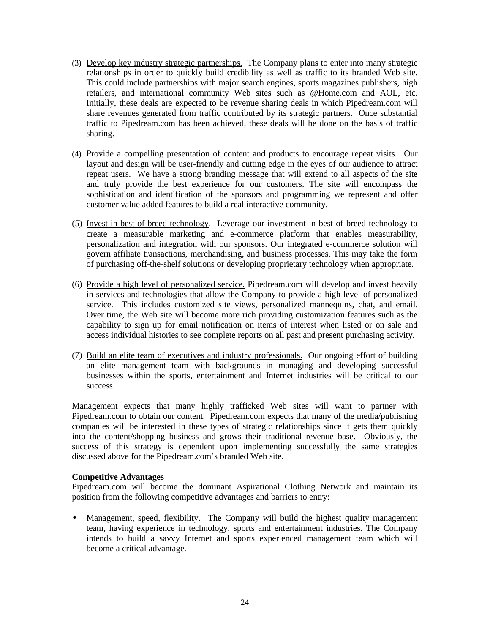- (3) Develop key industry strategic partnerships. The Company plans to enter into many strategic relationships in order to quickly build credibility as well as traffic to its branded Web site. This could include partnerships with major search engines, sports magazines publishers, high retailers, and international community Web sites such as @Home.com and AOL, etc. Initially, these deals are expected to be revenue sharing deals in which Pipedream.com will share revenues generated from traffic contributed by its strategic partners. Once substantial traffic to Pipedream.com has been achieved, these deals will be done on the basis of traffic sharing.
- (4) Provide a compelling presentation of content and products to encourage repeat visits. Our layout and design will be user-friendly and cutting edge in the eyes of our audience to attract repeat users. We have a strong branding message that will extend to all aspects of the site and truly provide the best experience for our customers. The site will encompass the sophistication and identification of the sponsors and programming we represent and offer customer value added features to build a real interactive community.
- (5) Invest in best of breed technology. Leverage our investment in best of breed technology to create a measurable marketing and e-commerce platform that enables measurability, personalization and integration with our sponsors. Our integrated e-commerce solution will govern affiliate transactions, merchandising, and business processes. This may take the form of purchasing off-the-shelf solutions or developing proprietary technology when appropriate.
- (6) Provide a high level of personalized service. Pipedream.com will develop and invest heavily in services and technologies that allow the Company to provide a high level of personalized service. This includes customized site views, personalized mannequins, chat, and email. Over time, the Web site will become more rich providing customization features such as the capability to sign up for email notification on items of interest when listed or on sale and access individual histories to see complete reports on all past and present purchasing activity.
- (7) Build an elite team of executives and industry professionals. Our ongoing effort of building an elite management team with backgrounds in managing and developing successful businesses within the sports, entertainment and Internet industries will be critical to our success.

Management expects that many highly trafficked Web sites will want to partner with Pipedream.com to obtain our content. Pipedream.com expects that many of the media/publishing companies will be interested in these types of strategic relationships since it gets them quickly into the content/shopping business and grows their traditional revenue base.Obviously, the success of this strategy is dependent upon implementing successfully the same strategies discussed above for the Pipedream.com's branded Web site.

#### **Competitive Advantages**

Pipedream.com will become the dominant Aspirational Clothing Network and maintain its position from the following competitive advantages and barriers to entry:

• Management, speed, flexibility. The Company will build the highest quality management team, having experience in technology, sports and entertainment industries. The Company intends to build a savvy Internet and sports experienced management team which will become a critical advantage.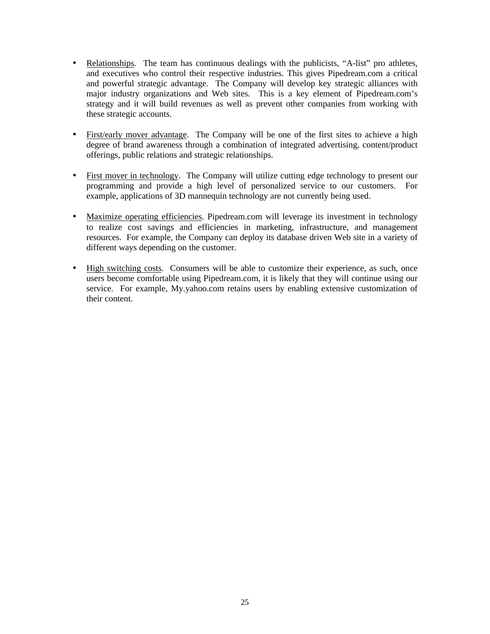- Relationships. The team has continuous dealings with the publicists, "A-list" pro athletes, and executives who control their respective industries. This gives Pipedream.com a critical and powerful strategic advantage. The Company will develop key strategic alliances with major industry organizations and Web sites. This is a key element of Pipedream.com's strategy and it will build revenues as well as prevent other companies from working with these strategic accounts.
- First/early mover advantage. The Company will be one of the first sites to achieve a high degree of brand awareness through a combination of integrated advertising, content/product offerings, public relations and strategic relationships.
- First mover in technology. The Company will utilize cutting edge technology to present our programming and provide a high level of personalized service to our customers. For example, applications of 3D mannequin technology are not currently being used.
- Maximize operating efficiencies. Pipedream.com will leverage its investment in technology to realize cost savings and efficiencies in marketing, infrastructure, and management resources. For example, the Company can deploy its database driven Web site in a variety of different ways depending on the customer.
- High switching costs. Consumers will be able to customize their experience, as such, once users become comfortable using Pipedream.com, it is likely that they will continue using our service. For example, My.yahoo.com retains users by enabling extensive customization of their content.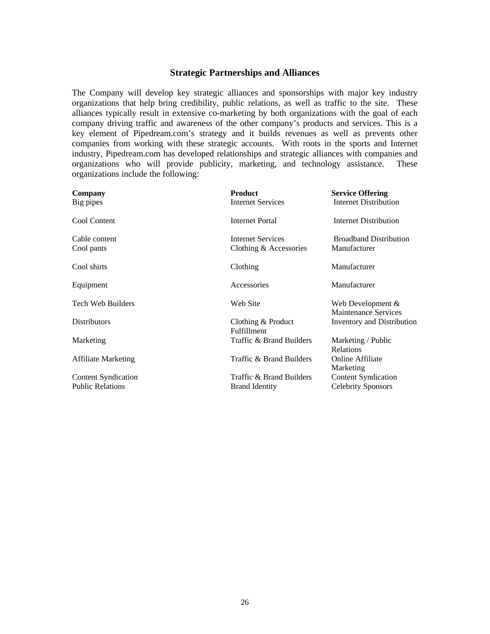#### **Strategic Partnerships and Alliances**

The Company will develop key strategic alliances and sponsorships with major key industry organizations that help bring credibility, public relations, as well as traffic to the site. These alliances typically result in extensive co-marketing by both organizations with the goal of each company driving traffic and awareness of the other company's products and services. This is a key element of Pipedream.com's strategy and it builds revenues as well as prevents other companies from working with these strategic accounts. With roots in the sports and Internet industry, Pipedream.com has developed relationships and strategic alliances with companies and organizations who will provide publicity, marketing, and technology assistance. These organizations include the following:

| Company<br>Big pipes                                  | <b>Product</b><br><b>Internet Services</b>         | <b>Service Offering</b><br><b>Internet Distribution</b> |
|-------------------------------------------------------|----------------------------------------------------|---------------------------------------------------------|
| Cool Content                                          | Internet Portal                                    | Internet Distribution                                   |
| Cable content<br>Cool pants                           | <b>Internet Services</b><br>Clothing & Accessories | <b>Broadband Distribution</b><br>Manufacturer           |
| Cool shirts                                           | Clothing                                           | Manufacturer                                            |
| Equipment                                             | Accessories                                        | Manufacturer                                            |
| Tech Web Builders                                     | Web Site                                           | Web Development $\&$<br><b>Maintenance Services</b>     |
| <b>Distributors</b>                                   | Clothing & Product<br>Fulfillment                  | Inventory and Distribution                              |
| Marketing                                             | Traffic & Brand Builders                           | Marketing / Public<br>Relations                         |
| <b>Affiliate Marketing</b>                            | Traffic & Brand Builders                           | <b>Online Affiliate</b><br>Marketing                    |
| <b>Content Syndication</b><br><b>Public Relations</b> | Traffic & Brand Builders<br><b>Brand Identity</b>  | <b>Content Syndication</b><br><b>Celebrity Sponsors</b> |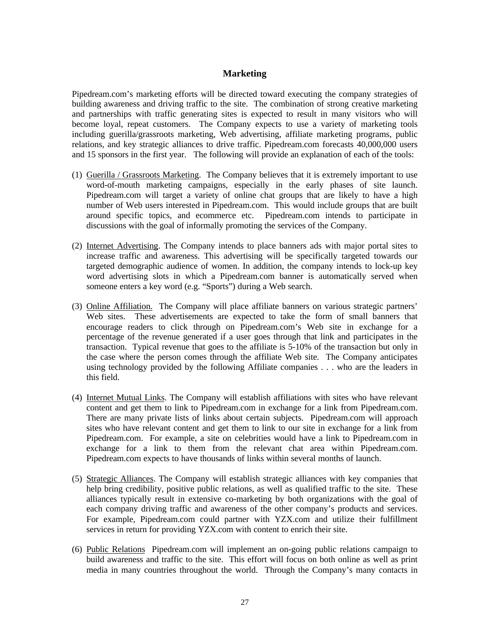#### **Marketing**

Pipedream.com's marketing efforts will be directed toward executing the company strategies of building awareness and driving traffic to the site. The combination of strong creative marketing and partnerships with traffic generating sites is expected to result in many visitors who will become loyal, repeat customers. The Company expects to use a variety of marketing tools including guerilla/grassroots marketing, Web advertising, affiliate marketing programs, public relations, and key strategic alliances to drive traffic. Pipedream.com forecasts 40,000,000 users and 15 sponsors in the first year. The following will provide an explanation of each of the tools:

- (1) Guerilla / Grassroots Marketing. The Company believes that it is extremely important to use word-of-mouth marketing campaigns, especially in the early phases of site launch. Pipedream.com will target a variety of online chat groups that are likely to have a high number of Web users interested in Pipedream.com. This would include groups that are built around specific topics, and ecommerce etc. Pipedream.com intends to participate in discussions with the goal of informally promoting the services of the Company.
- (2) Internet Advertising. The Company intends to place banners ads with major portal sites to increase traffic and awareness. This advertising will be specifically targeted towards our targeted demographic audience of women. In addition, the company intends to lock-up key word advertising slots in which a Pipedream.com banner is automatically served when someone enters a key word (e.g. "Sports") during a Web search.
- (3) Online Affiliation. The Company will place affiliate banners on various strategic partners' Web sites. These advertisements are expected to take the form of small banners that encourage readers to click through on Pipedream.com's Web site in exchange for a percentage of the revenue generated if a user goes through that link and participates in the transaction. Typical revenue that goes to the affiliate is 5-10% of the transaction but only in the case where the person comes through the affiliate Web site. The Company anticipates using technology provided by the following Affiliate companies . . . who are the leaders in this field.
- (4) Internet Mutual Links. The Company will establish affiliations with sites who have relevant content and get them to link to Pipedream.com in exchange for a link from Pipedream.com. There are many private lists of links about certain subjects. Pipedream.com will approach sites who have relevant content and get them to link to our site in exchange for a link from Pipedream.com. For example, a site on celebrities would have a link to Pipedream.com in exchange for a link to them from the relevant chat area within Pipedream.com. Pipedream.com expects to have thousands of links within several months of launch.
- (5) Strategic Alliances. The Company will establish strategic alliances with key companies that help bring credibility, positive public relations, as well as qualified traffic to the site. These alliances typically result in extensive co-marketing by both organizations with the goal of each company driving traffic and awareness of the other company's products and services. For example, Pipedream.com could partner with YZX.com and utilize their fulfillment services in return for providing YZX.com with content to enrich their site.
- (6) Public Relations Pipedream.com will implement an on-going public relations campaign to build awareness and traffic to the site. This effort will focus on both online as well as print media in many countries throughout the world. Through the Company's many contacts in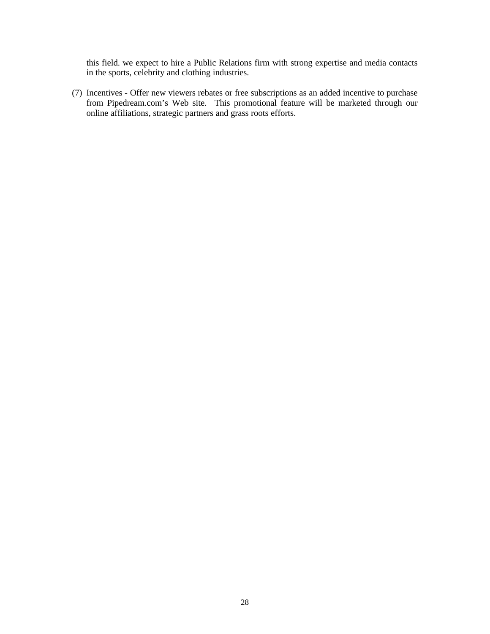this field. we expect to hire a Public Relations firm with strong expertise and media contacts in the sports, celebrity and clothing industries.

(7) Incentives - Offer new viewers rebates or free subscriptions as an added incentive to purchase from Pipedream.com's Web site. This promotional feature will be marketed through our online affiliations, strategic partners and grass roots efforts.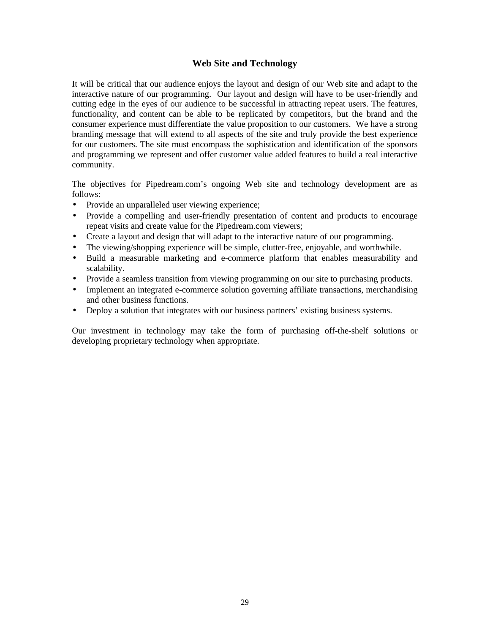#### **Web Site and Technology**

It will be critical that our audience enjoys the layout and design of our Web site and adapt to the interactive nature of our programming. Our layout and design will have to be user-friendly and cutting edge in the eyes of our audience to be successful in attracting repeat users. The features, functionality, and content can be able to be replicated by competitors, but the brand and the consumer experience must differentiate the value proposition to our customers. We have a strong branding message that will extend to all aspects of the site and truly provide the best experience for our customers. The site must encompass the sophistication and identification of the sponsors and programming we represent and offer customer value added features to build a real interactive community.

The objectives for Pipedream.com's ongoing Web site and technology development are as follows:

- Provide an unparalleled user viewing experience;
- Provide a compelling and user-friendly presentation of content and products to encourage repeat visits and create value for the Pipedream.com viewers;
- Create a layout and design that will adapt to the interactive nature of our programming.
- The viewing/shopping experience will be simple, clutter-free, enjoyable, and worthwhile.
- Build a measurable marketing and e-commerce platform that enables measurability and scalability.
- Provide a seamless transition from viewing programming on our site to purchasing products.
- Implement an integrated e-commerce solution governing affiliate transactions, merchandising and other business functions.
- Deploy a solution that integrates with our business partners' existing business systems.

Our investment in technology may take the form of purchasing off-the-shelf solutions or developing proprietary technology when appropriate.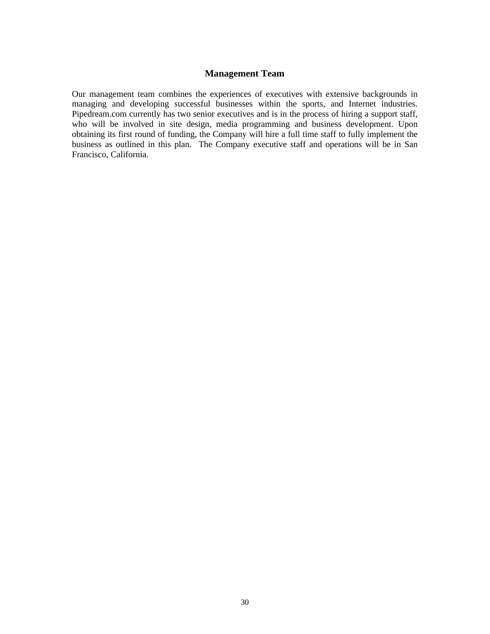#### **Management Team**

Our management team combines the experiences of executives with extensive backgrounds in managing and developing successful businesses within the sports, and Internet industries. Pipedream.com currently has two senior executives and is in the process of hiring a support staff, who will be involved in site design, media programming and business development. Upon obtaining its first round of funding, the Company will hire a full time staff to fully implement the business as outlined in this plan. The Company executive staff and operations will be in San Francisco, California.